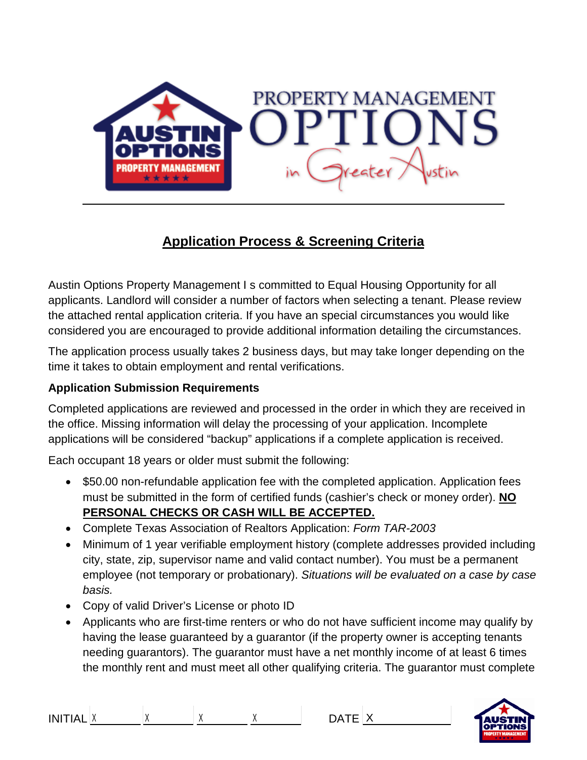

# **Application Process & Screening Criteria**

Austin Options Property Management I s committed to Equal Housing Opportunity for all applicants. Landlord will consider a number of factors when selecting a tenant. Please review the attached rental application criteria. If you have an special circumstances you would like considered you are encouraged to provide additional information detailing the circumstances.

The application process usually takes 2 business days, but may take longer depending on the time it takes to obtain employment and rental verifications.

#### **Application Submission Requirements**

Completed applications are reviewed and processed in the order in which they are received in the office. Missing information will delay the processing of your application. Incomplete applications will be considered "backup" applications if a complete application is received.

Each occupant 18 years or older must submit the following:

- \$50.00 non-refundable application fee with the completed application. Application fees must be submitted in the form of certified funds (cashier's check or money order). **NO PERSONAL CHECKS OR CASH WILL BE ACCEPTED.**
- Complete Texas Association of Realtors Application: *Form TAR-2003*
- Minimum of 1 year verifiable employment history (complete addresses provided including city, state, zip, supervisor name and valid contact number). You must be a permanent employee (not temporary or probationary). *Situations will be evaluated on a case by case basis.*
- Copy of valid Driver's License or photo ID
- Applicants who are first-time renters or who do not have sufficient income may qualify by having the lease guaranteed by a guarantor (if the property owner is accepting tenants needing guarantors). The guarantor must have a net monthly income of at least 6 times the monthly rent and must meet all other qualifying criteria. The guarantor must complete

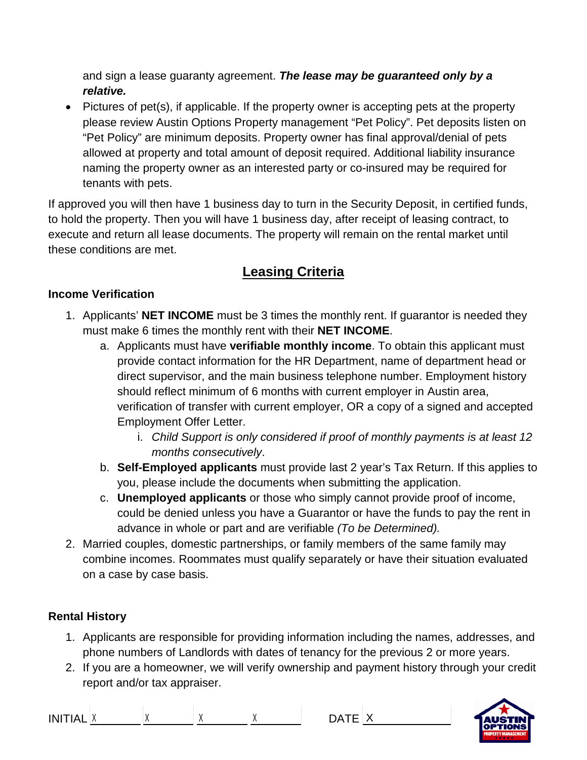and sign a lease guaranty agreement. *The lease may be guaranteed only by a relative.*

• Pictures of pet(s), if applicable. If the property owner is accepting pets at the property please review Austin Options Property management "Pet Policy". Pet deposits listen on "Pet Policy" are minimum deposits. Property owner has final approval/denial of pets allowed at property and total amount of deposit required. Additional liability insurance naming the property owner as an interested party or co-insured may be required for tenants with pets.

If approved you will then have 1 business day to turn in the Security Deposit, in certified funds, to hold the property. Then you will have 1 business day, after receipt of leasing contract, to execute and return all lease documents. The property will remain on the rental market until these conditions are met.

## **Leasing Criteria**

#### **Income Verification**

- 1. Applicants' **NET INCOME** must be 3 times the monthly rent. If guarantor is needed they must make 6 times the monthly rent with their **NET INCOME**.
	- a. Applicants must have **verifiable monthly income**. To obtain this applicant must provide contact information for the HR Department, name of department head or direct supervisor, and the main business telephone number. Employment history should reflect minimum of 6 months with current employer in Austin area, verification of transfer with current employer, OR a copy of a signed and accepted Employment Offer Letter.
		- i. *Child Support is only considered if proof of monthly payments is at least 12 months consecutively*.
	- b. **Self-Employed applicants** must provide last 2 year's Tax Return. If this applies to you, please include the documents when submitting the application.
	- c. **Unemployed applicants** or those who simply cannot provide proof of income, could be denied unless you have a Guarantor or have the funds to pay the rent in advance in whole or part and are verifiable *(To be Determined).*
- 2. Married couples, domestic partnerships, or family members of the same family may combine incomes. Roommates must qualify separately or have their situation evaluated on a case by case basis.

#### **Rental History**

- 1. Applicants are responsible for providing information including the names, addresses, and phone numbers of Landlords with dates of tenancy for the previous 2 or more years.
- 2. If you are a homeowner, we will verify ownership and payment history through your credit report and/or tax appraiser.

INITIAL  $X$   $X$   $X$   $\longrightarrow$  DATE  $X$ 

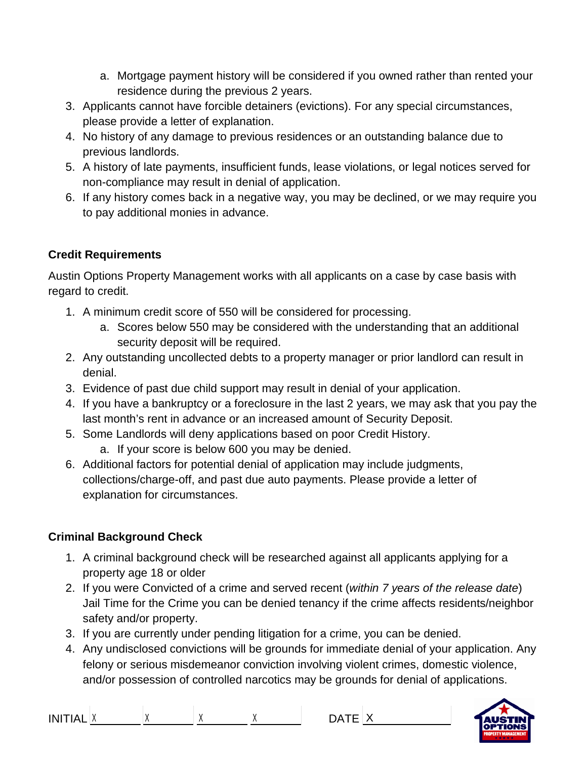- a. Mortgage payment history will be considered if you owned rather than rented your residence during the previous 2 years.
- 3. Applicants cannot have forcible detainers (evictions). For any special circumstances, please provide a letter of explanation.
- 4. No history of any damage to previous residences or an outstanding balance due to previous landlords.
- 5. A history of late payments, insufficient funds, lease violations, or legal notices served for non-compliance may result in denial of application.
- 6. If any history comes back in a negative way, you may be declined, or we may require you to pay additional monies in advance.

#### **Credit Requirements**

Austin Options Property Management works with all applicants on a case by case basis with regard to credit.

- 1. A minimum credit score of 550 will be considered for processing.
	- a. Scores below 550 may be considered with the understanding that an additional security deposit will be required.
- 2. Any outstanding uncollected debts to a property manager or prior landlord can result in denial.
- 3. Evidence of past due child support may result in denial of your application.
- 4. If you have a bankruptcy or a foreclosure in the last 2 years, we may ask that you pay the last month's rent in advance or an increased amount of Security Deposit.
- 5. Some Landlords will deny applications based on poor Credit History.
	- a. If your score is below 600 you may be denied.
- 6. Additional factors for potential denial of application may include judgments, collections/charge-off, and past due auto payments. Please provide a letter of explanation for circumstances.

### **Criminal Background Check**

- 1. A criminal background check will be researched against all applicants applying for a property age 18 or older
- 2. If you were Convicted of a crime and served recent (*within 7 years of the release date*) Jail Time for the Crime you can be denied tenancy if the crime affects residents/neighbor safety and/or property.
- 3. If you are currently under pending litigation for a crime, you can be denied.
- 4. Any undisclosed convictions will be grounds for immediate denial of your application. Any felony or serious misdemeanor conviction involving violent crimes, domestic violence, and/or possession of controlled narcotics may be grounds for denial of applications.